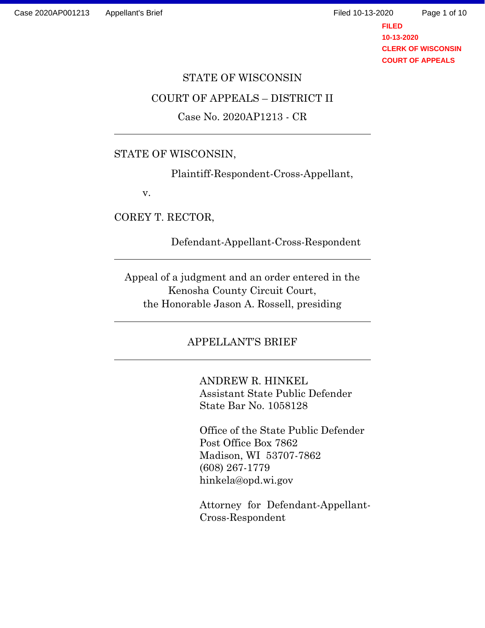**FILED 10-13-2020 CLERK OF WISCONSIN COURT OF APPEALS**

# STATE OF WISCONSIN COURT OF APPEALS – DISTRICT II Case No. 2020AP1213 - CR

### STATE OF WISCONSIN,

Plaintiff-Respondent-Cross-Appellant,

v.

COREY T. RECTOR,

Defendant-Appellant-Cross-Respondent

Appeal of a judgment and an order entered in the Kenosha County Circuit Court, the Honorable Jason A. Rossell, presiding

# APPELLANT'S BRIEF

ANDREW R. HINKEL Assistant State Public Defender State Bar No. 1058128

Office of the State Public Defender Post Office Box 7862 Madison, WI 53707-7862 (608) 267-1779 hinkela@opd.wi.gov

Attorney for Defendant-Appellant-Cross-Respondent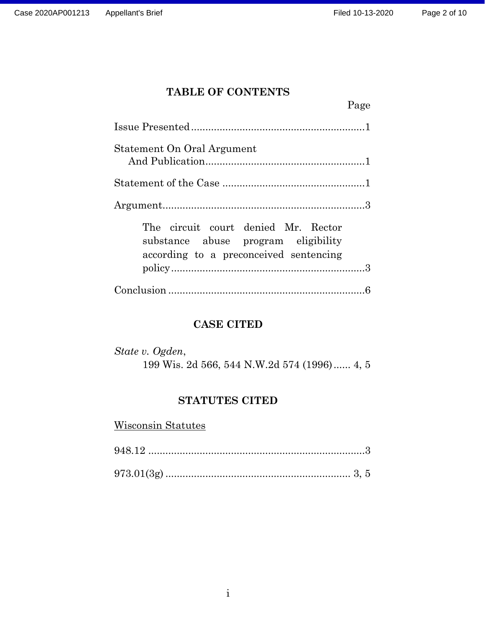Page

# **TABLE OF CONTENTS**

| Statement On Oral Argument                                                                                           |  |
|----------------------------------------------------------------------------------------------------------------------|--|
|                                                                                                                      |  |
|                                                                                                                      |  |
| The circuit court denied Mr. Rector<br>substance abuse program eligibility<br>according to a preconceived sentencing |  |
|                                                                                                                      |  |

# **CASE CITED**

| State v. Ogden, |  |  |  |  |                                             |  |  |
|-----------------|--|--|--|--|---------------------------------------------|--|--|
|                 |  |  |  |  | 199 Wis. 2d 566, 544 N.W.2d 574 (1996) 4, 5 |  |  |

# **STATUTES CITED**

Wisconsin Statutes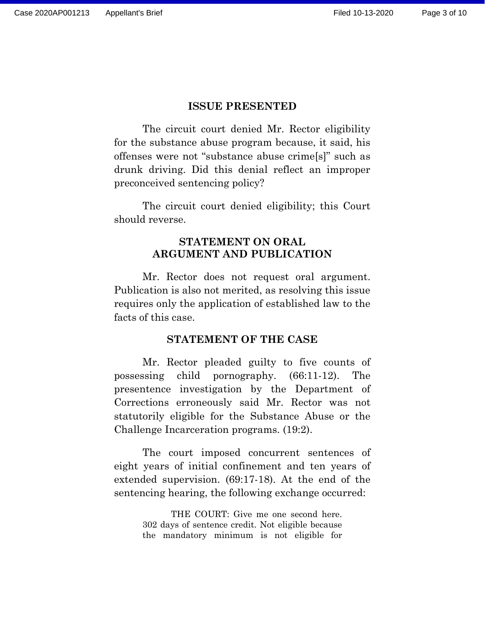### **ISSUE PRESENTED**

The circuit court denied Mr. Rector eligibility for the substance abuse program because, it said, his offenses were not "substance abuse crime[s]" such as drunk driving. Did this denial reflect an improper preconceived sentencing policy?

The circuit court denied eligibility; this Court should reverse.

### **STATEMENT ON ORAL ARGUMENT AND PUBLICATION**

Mr. Rector does not request oral argument. Publication is also not merited, as resolving this issue requires only the application of established law to the facts of this case.

#### **STATEMENT OF THE CASE**

Mr. Rector pleaded guilty to five counts of possessing child pornography. (66:11-12). The presentence investigation by the Department of Corrections erroneously said Mr. Rector was not statutorily eligible for the Substance Abuse or the Challenge Incarceration programs. (19:2).

The court imposed concurrent sentences of eight years of initial confinement and ten years of extended supervision. (69:17-18). At the end of the sentencing hearing, the following exchange occurred:

> THE COURT: Give me one second here. 302 days of sentence credit. Not eligible because the mandatory minimum is not eligible for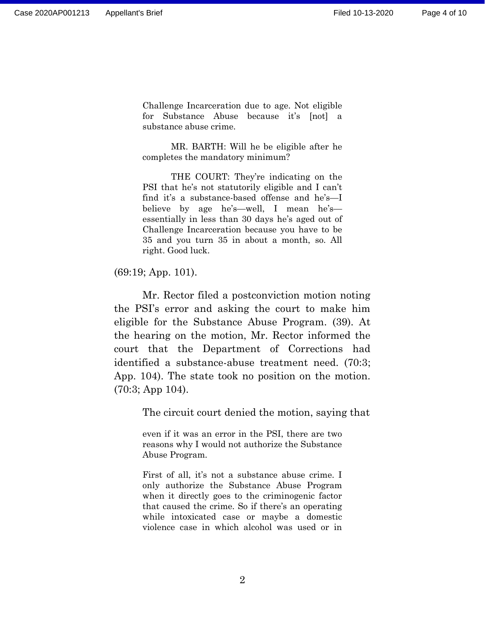Challenge Incarceration due to age. Not eligible for Substance Abuse because it's [not] a substance abuse crime.

MR. BARTH: Will he be eligible after he completes the mandatory minimum?

THE COURT: They're indicating on the PSI that he's not statutorily eligible and I can't find it's a substance-based offense and he's—I believe by age he's—well, I mean he's essentially in less than 30 days he's aged out of Challenge Incarceration because you have to be 35 and you turn 35 in about a month, so. All right. Good luck.

(69:19; App. 101).

Mr. Rector filed a postconviction motion noting the PSI's error and asking the court to make him eligible for the Substance Abuse Program. (39). At the hearing on the motion, Mr. Rector informed the court that the Department of Corrections had identified a substance-abuse treatment need. (70:3; App. 104). The state took no position on the motion. (70:3; App 104).

The circuit court denied the motion, saying that

even if it was an error in the PSI, there are two reasons why I would not authorize the Substance Abuse Program.

First of all, it's not a substance abuse crime. I only authorize the Substance Abuse Program when it directly goes to the criminogenic factor that caused the crime. So if there's an operating while intoxicated case or maybe a domestic violence case in which alcohol was used or in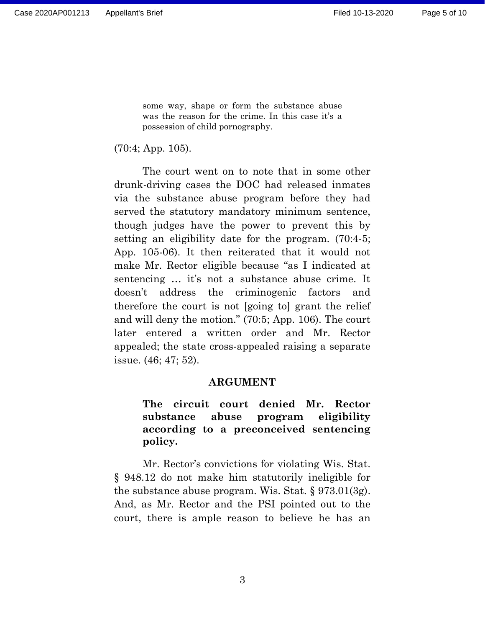some way, shape or form the substance abuse was the reason for the crime. In this case it's a possession of child pornography.

(70:4; App. 105).

The court went on to note that in some other drunk-driving cases the DOC had released inmates via the substance abuse program before they had served the statutory mandatory minimum sentence, though judges have the power to prevent this by setting an eligibility date for the program. (70:4-5; App. 105-06). It then reiterated that it would not make Mr. Rector eligible because "as I indicated at sentencing … it's not a substance abuse crime. It doesn't address the criminogenic factors and therefore the court is not [going to] grant the relief and will deny the motion." (70:5; App. 106). The court later entered a written order and Mr. Rector appealed; the state cross-appealed raising a separate issue. (46; 47; 52).

### **ARGUMENT**

## **The circuit court denied Mr. Rector substance abuse program eligibility according to a preconceived sentencing policy.**

Mr. Rector's convictions for violating Wis. Stat. § 948.12 do not make him statutorily ineligible for the substance abuse program. Wis. Stat. § 973.01(3g). And, as Mr. Rector and the PSI pointed out to the court, there is ample reason to believe he has an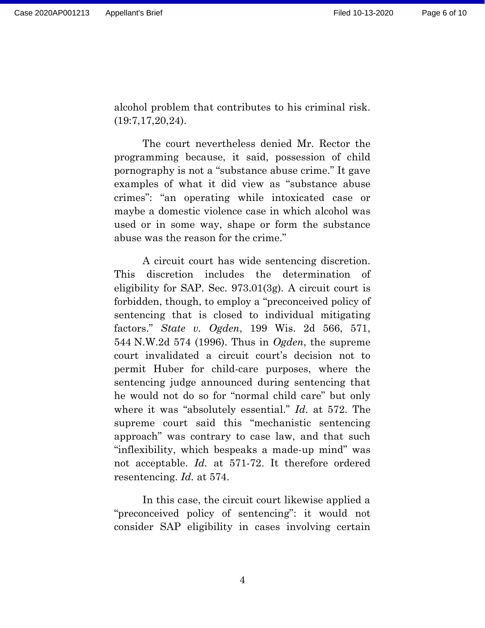alcohol problem that contributes to his criminal risk. (19:7,17,20,24).

The court nevertheless denied Mr. Rector the programming because, it said, possession of child pornography is not a "substance abuse crime." It gave examples of what it did view as "substance abuse crimes": "an operating while intoxicated case or maybe a domestic violence case in which alcohol was used or in some way, shape or form the substance abuse was the reason for the crime."

A circuit court has wide sentencing discretion. This discretion includes the determination of eligibility for SAP. Sec. 973.01(3g). A circuit court is forbidden, though, to employ a "preconceived policy of sentencing that is closed to individual mitigating factors." *State v. Ogden*, 199 Wis. 2d 566, 571, 544 N.W.2d 574 (1996). Thus in *Ogden*, the supreme court invalidated a circuit court's decision not to permit Huber for child-care purposes, where the sentencing judge announced during sentencing that he would not do so for "normal child care" but only where it was "absolutely essential." *Id.* at 572. The supreme court said this "mechanistic sentencing approach" was contrary to case law, and that such "inflexibility, which bespeaks a made-up mind" was not acceptable. *Id.* at 571-72. It therefore ordered resentencing. *Id.* at 574.

In this case, the circuit court likewise applied a "preconceived policy of sentencing": it would not consider SAP eligibility in cases involving certain

4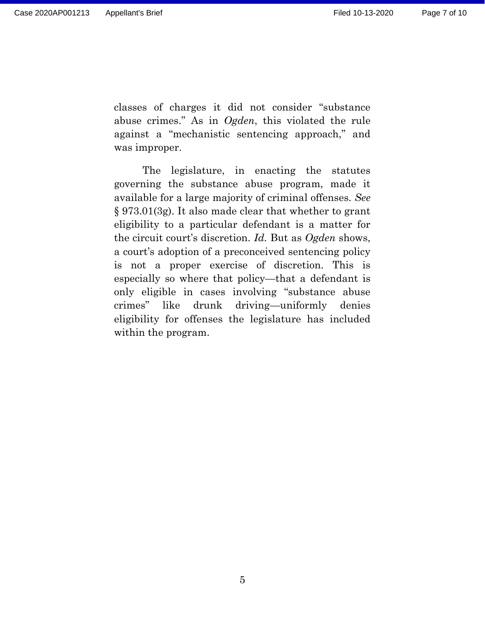classes of charges it did not consider "substance abuse crimes." As in *Ogden*, this violated the rule against a "mechanistic sentencing approach," and was improper.

The legislature, in enacting the statutes governing the substance abuse program, made it available for a large majority of criminal offenses. *See* § 973.01(3g). It also made clear that whether to grant eligibility to a particular defendant is a matter for the circuit court's discretion. *Id.* But as *Ogden* shows, a court's adoption of a preconceived sentencing policy is not a proper exercise of discretion. This is especially so where that policy—that a defendant is only eligible in cases involving "substance abuse crimes" like drunk driving—uniformly denies eligibility for offenses the legislature has included within the program.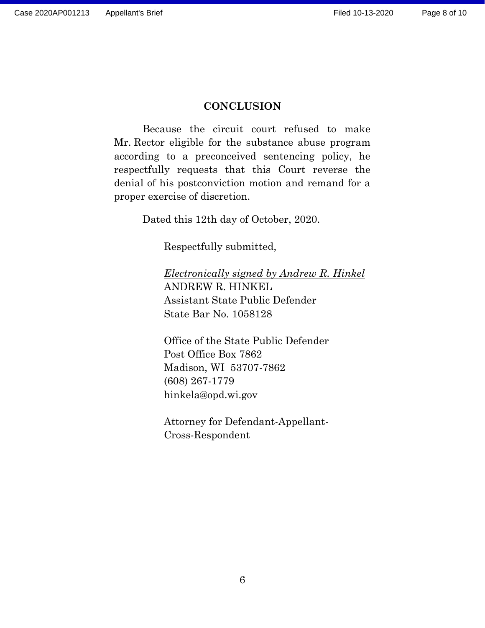### **CONCLUSION**

Because the circuit court refused to make Mr. Rector eligible for the substance abuse program according to a preconceived sentencing policy, he respectfully requests that this Court reverse the denial of his postconviction motion and remand for a proper exercise of discretion.

Dated this 12th day of October, 2020.

Respectfully submitted,

*Electronically signed by Andrew R. Hinkel* ANDREW R. HINKEL Assistant State Public Defender State Bar No. 1058128

Office of the State Public Defender Post Office Box 7862 Madison, WI 53707-7862 (608) 267-1779 hinkela@opd.wi.gov

Attorney for Defendant-Appellant-Cross-Respondent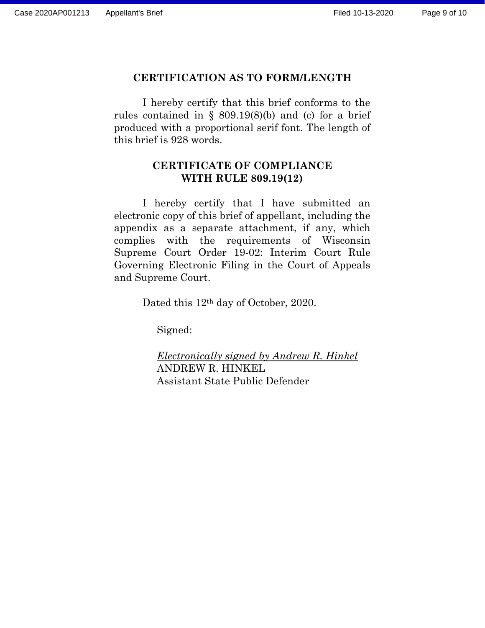### **CERTIFICATION AS TO FORM/LENGTH**

I hereby certify that this brief conforms to the rules contained in §  $809.19(8)(b)$  and (c) for a brief produced with a proportional serif font. The length of this brief is 928 words.

### **CERTIFICATE OF COMPLIANCE WITH RULE 809.19(12)**

I hereby certify that I have submitted an electronic copy of this brief of appellant, including the appendix as a separate attachment, if any, which complies with the requirements of Wisconsin Supreme Court Order 19-02: Interim Court Rule Governing Electronic Filing in the Court of Appeals and Supreme Court.

Dated this 12th day of October, 2020.

Signed:

*Electronically signed by Andrew R. Hinkel* ANDREW R. HINKEL Assistant State Public Defender